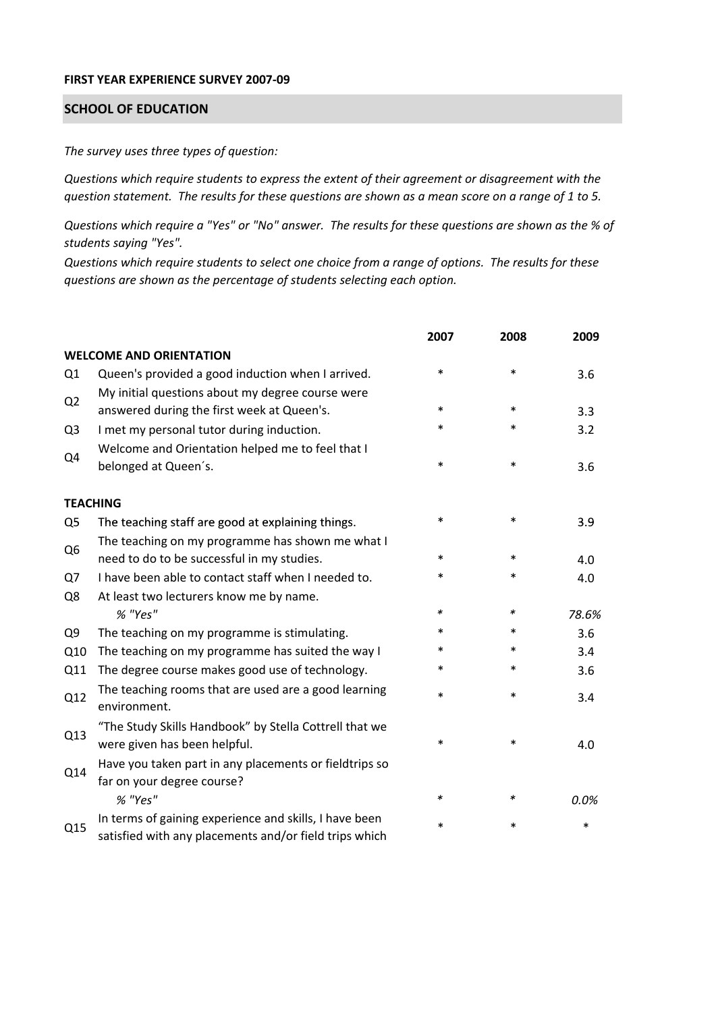## **FIRST YEAR EXPERIENCE SURVEY 2007‐09**

## **SCHOOL OF EDUCATION**

*The survey uses three types of question:*

*Questions which require students to express the extent of their agreement or disagreement with the* question statement. The results for these questions are shown as a mean score on a range of 1 to 5.

Questions which require a "Yes" or "No" answer. The results for these questions are shown as the % of *students saying "Yes".*

Questions which require students to select one choice from a range of options. The results for these *questions are shown as the percentage of students selecting each option.*

|                |                                                                                                                  | 2007   | 2008   | 2009  |
|----------------|------------------------------------------------------------------------------------------------------------------|--------|--------|-------|
|                | <b>WELCOME AND ORIENTATION</b>                                                                                   |        |        |       |
| Q <sub>1</sub> | Queen's provided a good induction when I arrived.                                                                | $\ast$ | $\ast$ | 3.6   |
| Q <sub>2</sub> | My initial questions about my degree course were<br>answered during the first week at Queen's.                   | $\ast$ | $\ast$ | 3.3   |
| Q <sub>3</sub> | I met my personal tutor during induction.                                                                        | $\ast$ | $\ast$ | 3.2   |
| Q4             | Welcome and Orientation helped me to feel that I<br>belonged at Queen's.                                         | $\ast$ | $\ast$ | 3.6   |
|                | <b>TEACHING</b>                                                                                                  |        |        |       |
| Q5             | The teaching staff are good at explaining things.                                                                | $\ast$ | $\ast$ | 3.9   |
| Q <sub>6</sub> | The teaching on my programme has shown me what I                                                                 |        |        |       |
|                | need to do to be successful in my studies.                                                                       | $\ast$ | $\ast$ | 4.0   |
| Q7             | I have been able to contact staff when I needed to.                                                              | $\ast$ | $\ast$ | 4.0   |
| Q8             | At least two lecturers know me by name.                                                                          |        |        |       |
|                | % "Yes"                                                                                                          | *      | $\ast$ | 78.6% |
| Q <sub>9</sub> | The teaching on my programme is stimulating.                                                                     | *      | $\ast$ | 3.6   |
| Q10            | The teaching on my programme has suited the way I                                                                | *      | *      | 3.4   |
| Q11            | The degree course makes good use of technology.                                                                  | *      | $\ast$ | 3.6   |
| Q12            | The teaching rooms that are used are a good learning<br>environment.                                             | *      | $\ast$ | 3.4   |
| Q13            | "The Study Skills Handbook" by Stella Cottrell that we<br>were given has been helpful.                           | *      | $\ast$ | 4.0   |
| Q14            | Have you taken part in any placements or fieldtrips so<br>far on your degree course?                             |        |        |       |
|                | % "Yes"                                                                                                          | *      | $\ast$ | 0.0%  |
| Q15            | In terms of gaining experience and skills, I have been<br>satisfied with any placements and/or field trips which | *      | *      | *     |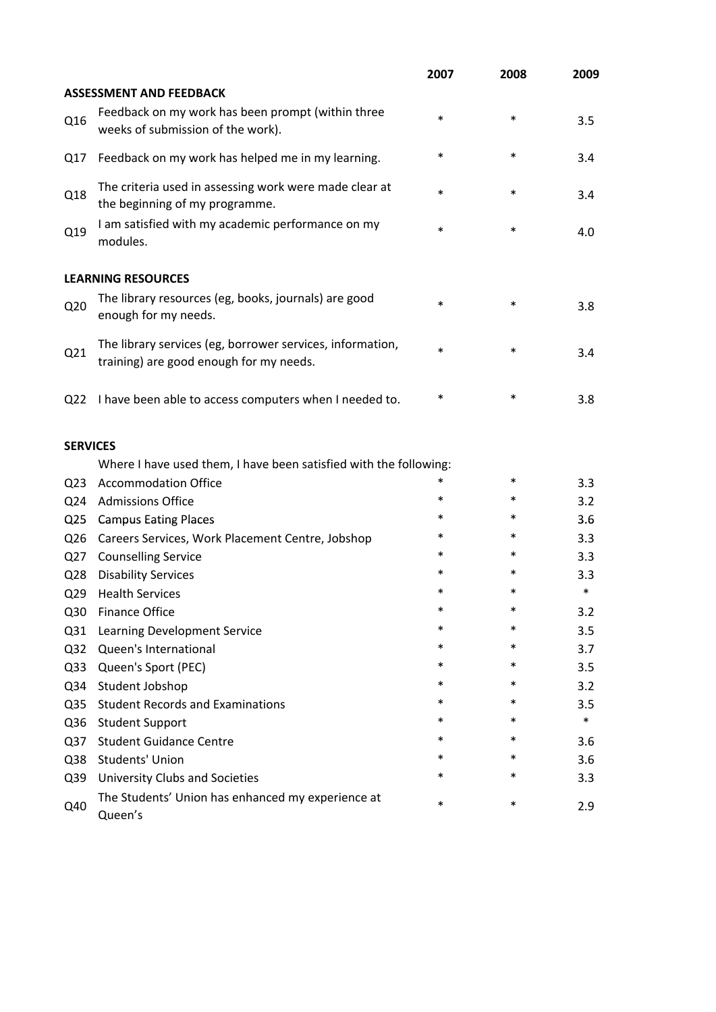|                 |                                                                                                      | 2007   | 2008   | 2009   |
|-----------------|------------------------------------------------------------------------------------------------------|--------|--------|--------|
|                 | <b>ASSESSMENT AND FEEDBACK</b>                                                                       |        |        |        |
| Q16             | Feedback on my work has been prompt (within three<br>weeks of submission of the work).               | $\ast$ | $\ast$ | 3.5    |
| Q17             | Feedback on my work has helped me in my learning.                                                    | $\ast$ | $\ast$ | 3.4    |
| Q18             | The criteria used in assessing work were made clear at<br>the beginning of my programme.             | $\ast$ | $\ast$ | 3.4    |
| Q19             | I am satisfied with my academic performance on my<br>modules.                                        | $\ast$ | $\ast$ | 4.0    |
|                 | <b>LEARNING RESOURCES</b>                                                                            |        |        |        |
| Q <sub>20</sub> | The library resources (eg, books, journals) are good<br>enough for my needs.                         | $\ast$ | $\ast$ | 3.8    |
| Q21             | The library services (eg, borrower services, information,<br>training) are good enough for my needs. | $\ast$ | $\ast$ | 3.4    |
| Q <sub>22</sub> | I have been able to access computers when I needed to.                                               | $\ast$ | $\ast$ | 3.8    |
| <b>SERVICES</b> |                                                                                                      |        |        |        |
|                 | Where I have used them, I have been satisfied with the following:                                    |        |        |        |
| Q <sub>23</sub> | <b>Accommodation Office</b>                                                                          | $\ast$ | $\ast$ | 3.3    |
| Q <sub>24</sub> | <b>Admissions Office</b>                                                                             | $\ast$ | $\ast$ | 3.2    |
| Q <sub>25</sub> | <b>Campus Eating Places</b>                                                                          | $\ast$ | $\ast$ | 3.6    |
| Q26             | Careers Services, Work Placement Centre, Jobshop                                                     | $\ast$ | $\ast$ | 3.3    |
| Q27             | <b>Counselling Service</b>                                                                           | *      | $\ast$ | 3.3    |
| Q28             | <b>Disability Services</b>                                                                           | $\ast$ |        | 3.3    |
| Q <sub>29</sub> | <b>Health Services</b>                                                                               | *      | $\ast$ | $\ast$ |
| Q <sub>30</sub> | <b>Finance Office</b>                                                                                |        |        | 3.2    |
| Q <sub>31</sub> | Learning Development Service                                                                         | $\ast$ | $\ast$ | 3.5    |
| Q <sub>32</sub> | Queen's International                                                                                | $\ast$ | *      | 3.7    |
| Q <sub>33</sub> | Queen's Sport (PEC)                                                                                  | $\ast$ | $\ast$ | 3.5    |
| Q34             | Student Jobshop                                                                                      | $\ast$ | $\ast$ | 3.2    |
| Q <sub>35</sub> | <b>Student Records and Examinations</b>                                                              | $\ast$ | $\ast$ | 3.5    |
| Q36             | <b>Student Support</b>                                                                               | $\ast$ | $\ast$ | $\ast$ |
| Q <sub>37</sub> | <b>Student Guidance Centre</b>                                                                       | $\ast$ | $\ast$ | 3.6    |
| Q38             | <b>Students' Union</b>                                                                               | $\ast$ | $\ast$ | 3.6    |
| Q39             | <b>University Clubs and Societies</b>                                                                | $\ast$ | *      | 3.3    |
| Q40             | The Students' Union has enhanced my experience at<br>Queen's                                         | $\ast$ | $\ast$ | 2.9    |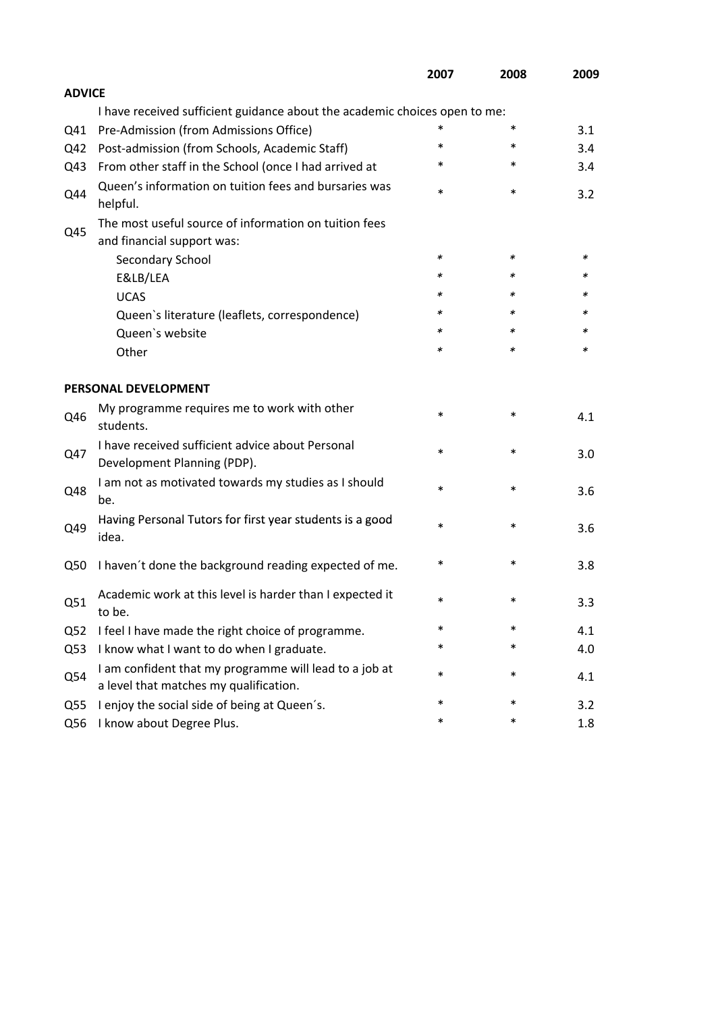|                 |                                                                                                  | 2007   | 2008   | 2009 |
|-----------------|--------------------------------------------------------------------------------------------------|--------|--------|------|
| <b>ADVICE</b>   |                                                                                                  |        |        |      |
|                 | I have received sufficient guidance about the academic choices open to me:                       |        |        |      |
| Q41             | Pre-Admission (from Admissions Office)                                                           | *      | $\ast$ | 3.1  |
| Q42             | Post-admission (from Schools, Academic Staff)                                                    | $\ast$ | $\ast$ | 3.4  |
| Q43             | From other staff in the School (once I had arrived at                                            | *      | $\ast$ | 3.4  |
| Q44             | Queen's information on tuition fees and bursaries was<br>helpful.                                | $\ast$ | $\ast$ | 3.2  |
|                 | The most useful source of information on tuition fees                                            |        |        |      |
| Q45             | and financial support was:                                                                       |        |        |      |
|                 | Secondary School                                                                                 | $\ast$ | $\ast$ | ∗    |
|                 | E&LB/LEA                                                                                         | $\ast$ | $\ast$ | *    |
|                 | <b>UCAS</b>                                                                                      | *      | *      | ж    |
|                 | Queen's literature (leaflets, correspondence)                                                    | $\ast$ | $\ast$ | ∗    |
|                 | Queen's website                                                                                  | $\ast$ | ∗      | ∗    |
|                 | Other                                                                                            | $\ast$ | $\ast$ | ∗    |
|                 | PERSONAL DEVELOPMENT                                                                             |        |        |      |
| Q46             | My programme requires me to work with other<br>students.                                         | $\ast$ | $\ast$ | 4.1  |
| Q47             | I have received sufficient advice about Personal<br>Development Planning (PDP).                  | $\ast$ | $\ast$ | 3.0  |
| Q48             | I am not as motivated towards my studies as I should<br>be.                                      | $\ast$ | $\ast$ | 3.6  |
| Q49             | Having Personal Tutors for first year students is a good<br>idea.                                | $\ast$ | $\ast$ | 3.6  |
| Q50             | I haven't done the background reading expected of me.                                            | $\ast$ | ∗      | 3.8  |
| Q51             | Academic work at this level is harder than I expected it<br>to be.                               | *      | $\ast$ | 3.3  |
| Q <sub>52</sub> | I feel I have made the right choice of programme.                                                | $\ast$ | $\ast$ | 4.1  |
| Q53             | I know what I want to do when I graduate.                                                        | *      | $\ast$ | 4.0  |
| Q54             | I am confident that my programme will lead to a job at<br>a level that matches my qualification. | $\ast$ | $\ast$ | 4.1  |
| Q <sub>55</sub> | I enjoy the social side of being at Queen's.                                                     | $\ast$ | $\ast$ | 3.2  |
| Q56             | I know about Degree Plus.                                                                        | $\ast$ | $\ast$ | 1.8  |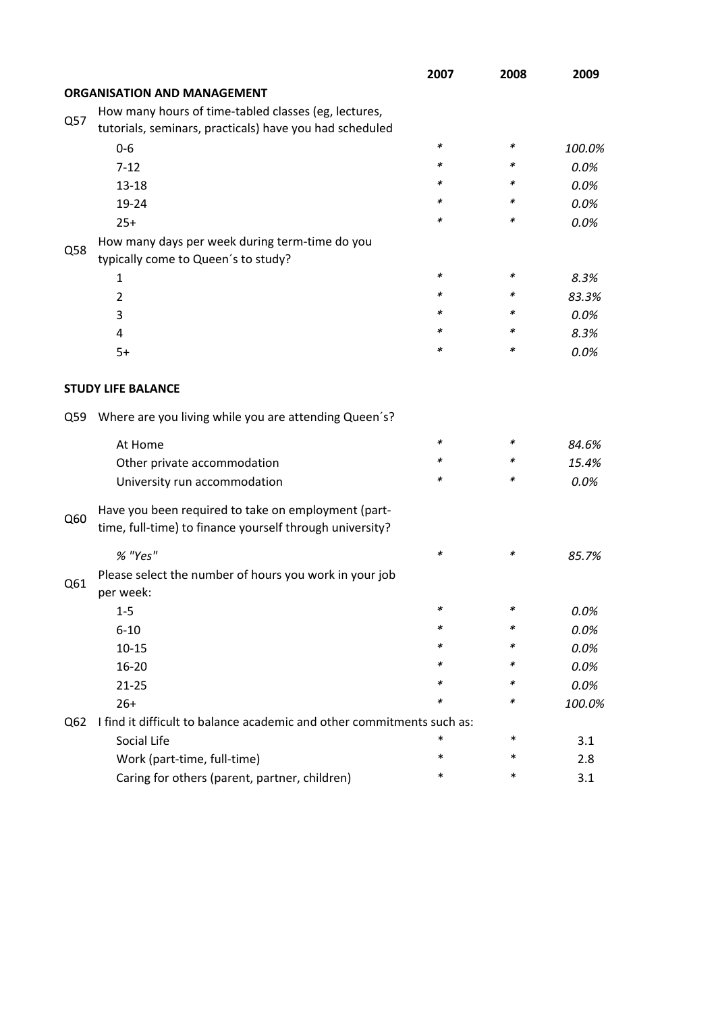|     |                                                                                                                 | 2007   | 2008   | 2009   |  |
|-----|-----------------------------------------------------------------------------------------------------------------|--------|--------|--------|--|
|     | <b>ORGANISATION AND MANAGEMENT</b>                                                                              |        |        |        |  |
| Q57 | How many hours of time-tabled classes (eg, lectures,                                                            |        |        |        |  |
|     | tutorials, seminars, practicals) have you had scheduled                                                         |        |        |        |  |
|     | $0-6$                                                                                                           | ∗      | $\ast$ | 100.0% |  |
|     | $7 - 12$                                                                                                        | $\ast$ | ∗      | 0.0%   |  |
|     | $13 - 18$                                                                                                       | *      | *      | 0.0%   |  |
|     | 19-24                                                                                                           | *      | ∗      | 0.0%   |  |
|     | $25+$                                                                                                           | *      | *      | 0.0%   |  |
| Q58 | How many days per week during term-time do you                                                                  |        |        |        |  |
|     | typically come to Queen's to study?                                                                             |        |        |        |  |
|     | 1                                                                                                               | *      | *      | 8.3%   |  |
|     | $\overline{2}$                                                                                                  | $\ast$ | ∗      | 83.3%  |  |
|     | 3                                                                                                               | *      | ∗      | 0.0%   |  |
|     | 4                                                                                                               | *      | ∗      | 8.3%   |  |
|     | $5+$                                                                                                            | *      | *      | 0.0%   |  |
|     | <b>STUDY LIFE BALANCE</b>                                                                                       |        |        |        |  |
| Q59 | Where are you living while you are attending Queen's?                                                           |        |        |        |  |
|     | At Home                                                                                                         | $\ast$ | ∗      | 84.6%  |  |
|     | Other private accommodation                                                                                     | *      | ∗      | 15.4%  |  |
|     | University run accommodation                                                                                    | *      | ∗      | 0.0%   |  |
| Q60 | Have you been required to take on employment (part-<br>time, full-time) to finance yourself through university? |        |        |        |  |
|     | % "Yes"                                                                                                         | *      | ∗      | 85.7%  |  |
| Q61 | Please select the number of hours you work in your job<br>per week:                                             |        |        |        |  |
|     | 1-5                                                                                                             |        |        | 0.0%   |  |
|     | $6 - 10$                                                                                                        | *      | ∗      | 0.0%   |  |
|     | $10 - 15$                                                                                                       | ∗      | ∗      | 0.0%   |  |
|     | 16-20                                                                                                           | *      | ∗      | 0.0%   |  |
|     | $21 - 25$                                                                                                       | *      | ∗      | 0.0%   |  |
|     | $26+$                                                                                                           | ∗      | ∗      | 100.0% |  |
| Q62 | I find it difficult to balance academic and other commitments such as:                                          |        |        |        |  |
|     | Social Life                                                                                                     | *      | $\ast$ | 3.1    |  |
|     | Work (part-time, full-time)                                                                                     | $\ast$ | $\ast$ | 2.8    |  |
|     | Caring for others (parent, partner, children)                                                                   | *      | $\ast$ | 3.1    |  |